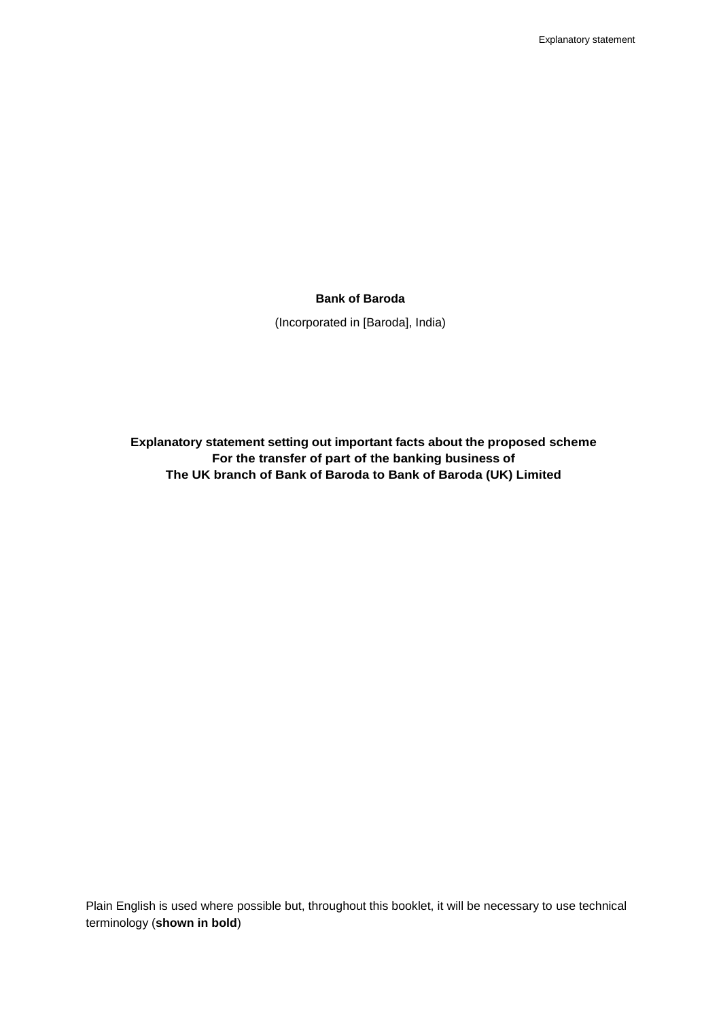### **Bank of Baroda**

(Incorporated in [Baroda], India)

**Explanatory statement setting out important facts about the proposed scheme For the transfer of part of the banking business of The UK branch of Bank of Baroda to Bank of Baroda (UK) Limited**

Plain English is used where possible but, throughout this booklet, it will be necessary to use technical terminology (**shown in bold**)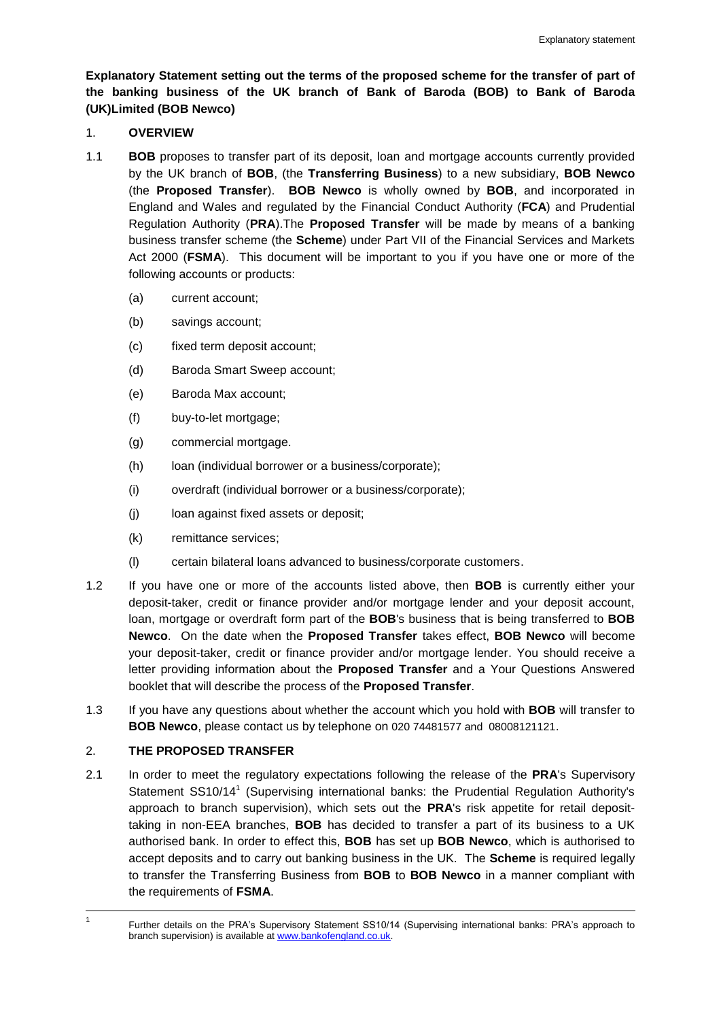**Explanatory Statement setting out the terms of the proposed scheme for the transfer of part of the banking business of the UK branch of Bank of Baroda (BOB) to Bank of Baroda (UK)Limited (BOB Newco)**

## 1. **OVERVIEW**

- <span id="page-1-0"></span>1.1 **BOB** proposes to transfer part of its deposit, loan and mortgage accounts currently provided by the UK branch of **BOB**, (the **Transferring Business**) to a new subsidiary, **BOB Newco** (the **Proposed Transfer**). **BOB Newco** is wholly owned by **BOB**, and incorporated in England and Wales and regulated by the Financial Conduct Authority (**FCA**) and Prudential Regulation Authority (**PRA**).The **Proposed Transfer** will be made by means of a banking business transfer scheme (the **Scheme**) under Part VII of the Financial Services and Markets Act 2000 (**FSMA**). This document will be important to you if you have one or more of the following accounts or products:
	- (a) current account;
	- (b) savings account;
	- (c) fixed term deposit account;
	- (d) Baroda Smart Sweep account;
	- (e) Baroda Max account;
	- (f) buy-to-let mortgage;
	- (g) commercial mortgage.
	- (h) loan (individual borrower or a business/corporate);
	- (i) overdraft (individual borrower or a business/corporate);
	- (j) loan against fixed assets or deposit;
	- (k) remittance services;
	- (l) certain bilateral loans advanced to business/corporate customers.
- 1.2 If you have one or more of the accounts listed above, then **BOB** is currently either your deposit-taker, credit or finance provider and/or mortgage lender and your deposit account, loan, mortgage or overdraft form part of the **BOB**'s business that is being transferred to **BOB Newco**. On the date when the **Proposed Transfer** takes effect, **BOB Newco** will become your deposit-taker, credit or finance provider and/or mortgage lender. You should receive a letter providing information about the **Proposed Transfer** and a Your Questions Answered booklet that will describe the process of the **Proposed Transfer**.
- 1.3 If you have any questions about whether the account which you hold with **BOB** will transfer to **BOB Newco**, please contact us by telephone on 020 74481577 and 08008121121.

# 2. **THE PROPOSED TRANSFER**

2.1 In order to meet the regulatory expectations following the release of the **PRA**'s Supervisory Statement SS10/14<sup>1</sup> (Supervising international banks: the Prudential Regulation Authority's approach to branch supervision), which sets out the **PRA**'s risk appetite for retail deposittaking in non-EEA branches, **BOB** has decided to transfer a part of its business to a UK authorised bank. In order to effect this, **BOB** has set up **BOB Newco**, which is authorised to accept deposits and to carry out banking business in the UK. The **Scheme** is required legally to transfer the Transferring Business from **BOB** to **BOB Newco** in a manner compliant with the requirements of **FSMA**.

 $\overline{a}$ 1

Further details on the PRA's Supervisory Statement SS10/14 (Supervising international banks: PRA's approach to branch supervision) is available at [www.bankofengland.co.uk.](http://www.bankofengland.co.uk/)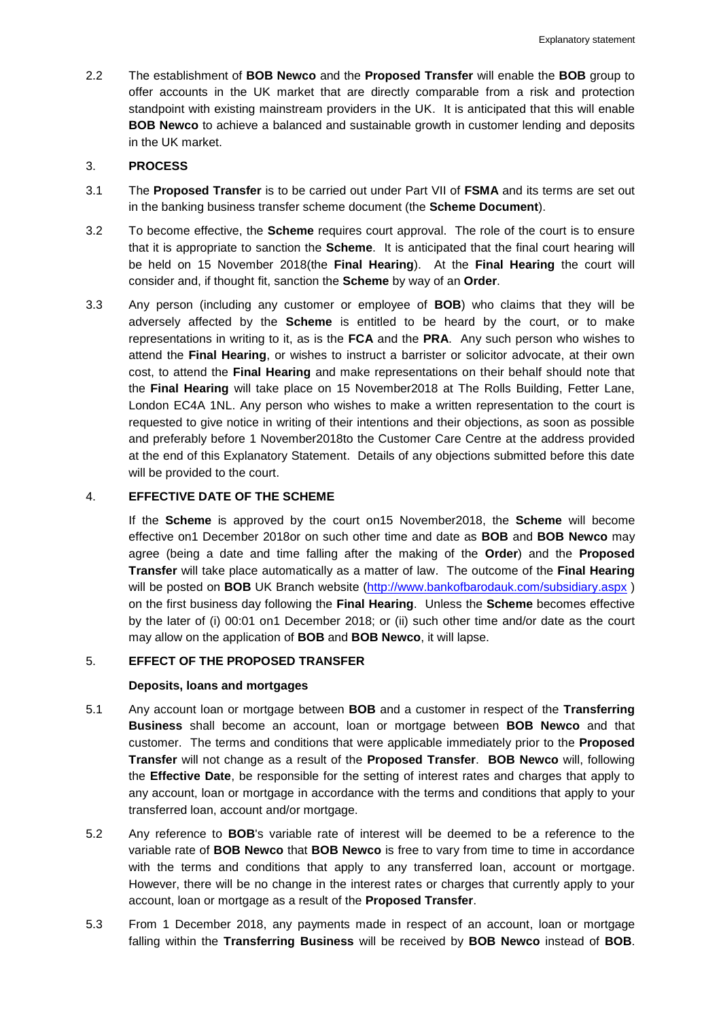2.2 The establishment of **BOB Newco** and the **Proposed Transfer** will enable the **BOB** group to offer accounts in the UK market that are directly comparable from a risk and protection standpoint with existing mainstream providers in the UK. It is anticipated that this will enable **BOB Newco** to achieve a balanced and sustainable growth in customer lending and deposits in the UK market.

### 3. **PROCESS**

- 3.1 The **Proposed Transfer** is to be carried out under Part VII of **FSMA** and its terms are set out in the banking business transfer scheme document (the **Scheme Document**).
- 3.2 To become effective, the **Scheme** requires court approval. The role of the court is to ensure that it is appropriate to sanction the **Scheme**. It is anticipated that the final court hearing will be held on 15 November 2018(the **Final Hearing**). At the **Final Hearing** the court will consider and, if thought fit, sanction the **Scheme** by way of an **Order**.
- 3.3 Any person (including any customer or employee of **BOB**) who claims that they will be adversely affected by the **Scheme** is entitled to be heard by the court, or to make representations in writing to it, as is the **FCA** and the **PRA**. Any such person who wishes to attend the **Final Hearing**, or wishes to instruct a barrister or solicitor advocate, at their own cost, to attend the **Final Hearing** and make representations on their behalf should note that the **Final Hearing** will take place on 15 November2018 at The Rolls Building, Fetter Lane, London EC4A 1NL. Any person who wishes to make a written representation to the court is requested to give notice in writing of their intentions and their objections, as soon as possible and preferably before 1 November2018to the Customer Care Centre at the address provided at the end of this Explanatory Statement. Details of any objections submitted before this date will be provided to the court.

## 4. **EFFECTIVE DATE OF THE SCHEME**

If the **Scheme** is approved by the court on15 November2018, the **Scheme** will become effective on1 December 2018or on such other time and date as **BOB** and **BOB Newco** may agree (being a date and time falling after the making of the **Order**) and the **Proposed Transfer** will take place automatically as a matter of law. The outcome of the **Final Hearing** will be posted on **BOB** UK Branch website [\(http://www.bankofbarodauk.com/subsidiary.aspx](http://www.bankofbarodauk.com/subsidiary.aspx)) on the first business day following the **Final Hearing**. Unless the **Scheme** becomes effective by the later of (i) 00:01 on1 December 2018; or (ii) such other time and/or date as the court may allow on the application of **BOB** and **BOB Newco**, it will lapse.

### 5. **EFFECT OF THE PROPOSED TRANSFER**

### **Deposits, loans and mortgages**

- 5.1 Any account loan or mortgage between **BOB** and a customer in respect of the **Transferring Business** shall become an account, loan or mortgage between **BOB Newco** and that customer. The terms and conditions that were applicable immediately prior to the **Proposed Transfer** will not change as a result of the **Proposed Transfer**. **BOB Newco** will, following the **Effective Date**, be responsible for the setting of interest rates and charges that apply to any account, loan or mortgage in accordance with the terms and conditions that apply to your transferred loan, account and/or mortgage.
- 5.2 Any reference to **BOB**'s variable rate of interest will be deemed to be a reference to the variable rate of **BOB Newco** that **BOB Newco** is free to vary from time to time in accordance with the terms and conditions that apply to any transferred loan, account or mortgage. However, there will be no change in the interest rates or charges that currently apply to your account, loan or mortgage as a result of the **Proposed Transfer**.
- 5.3 From 1 December 2018, any payments made in respect of an account, loan or mortgage falling within the **Transferring Business** will be received by **BOB Newco** instead of **BOB**.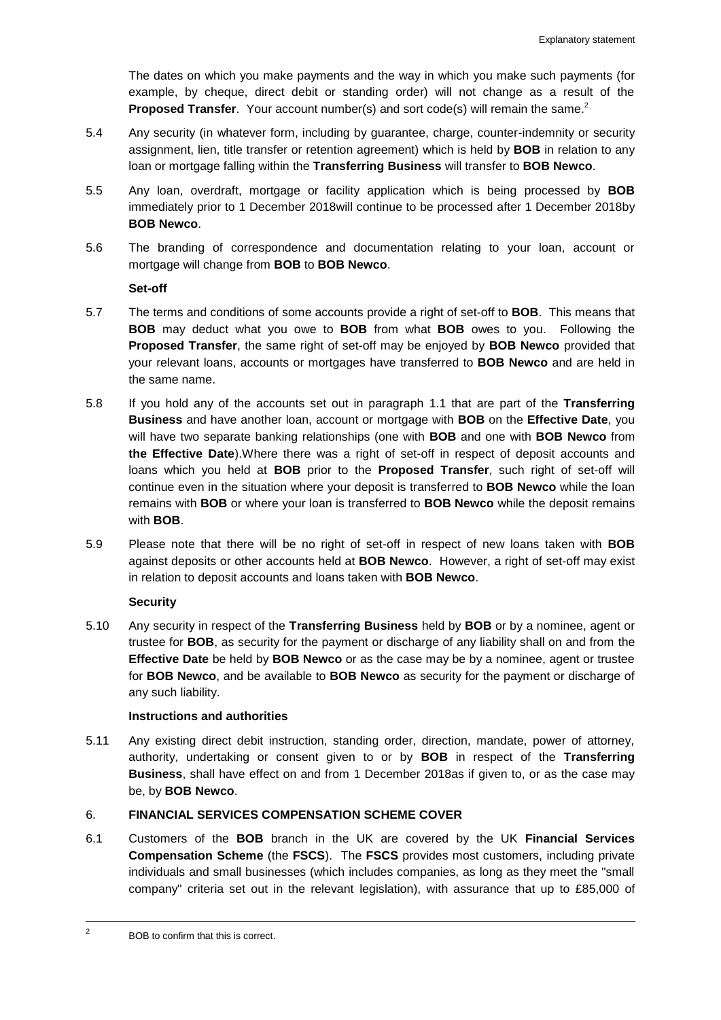The dates on which you make payments and the way in which you make such payments (for example, by cheque, direct debit or standing order) will not change as a result of the **Proposed Transfer**. Your account number(s) and sort code(s) will remain the same.<sup>2</sup>

- 5.4 Any security (in whatever form, including by guarantee, charge, counter-indemnity or security assignment, lien, title transfer or retention agreement) which is held by **BOB** in relation to any loan or mortgage falling within the **Transferring Business** will transfer to **BOB Newco**.
- 5.5 Any loan, overdraft, mortgage or facility application which is being processed by **BOB** immediately prior to 1 December 2018will continue to be processed after 1 December 2018by **BOB Newco**.
- 5.6 The branding of correspondence and documentation relating to your loan, account or mortgage will change from **BOB** to **BOB Newco**.

**Set-off**

- 5.7 The terms and conditions of some accounts provide a right of set-off to **BOB**. This means that **BOB** may deduct what you owe to **BOB** from what **BOB** owes to you. Following the **Proposed Transfer**, the same right of set-off may be enjoyed by **BOB Newco** provided that your relevant loans, accounts or mortgages have transferred to **BOB Newco** and are held in the same name.
- 5.8 If you hold any of the accounts set out in paragraph [1.1](#page-1-0) that are part of the **Transferring Business** and have another loan, account or mortgage with **BOB** on the **Effective Date**, you will have two separate banking relationships (one with **BOB** and one with **BOB Newco** from **the Effective Date**).Where there was a right of set-off in respect of deposit accounts and loans which you held at **BOB** prior to the **Proposed Transfer**, such right of set-off will continue even in the situation where your deposit is transferred to **BOB Newco** while the loan remains with **BOB** or where your loan is transferred to **BOB Newco** while the deposit remains with **BOB**.
- 5.9 Please note that there will be no right of set-off in respect of new loans taken with **BOB** against deposits or other accounts held at **BOB Newco**. However, a right of set-off may exist in relation to deposit accounts and loans taken with **BOB Newco**.

### **Security**

5.10 Any security in respect of the **Transferring Business** held by **BOB** or by a nominee, agent or trustee for **BOB**, as security for the payment or discharge of any liability shall on and from the **Effective Date** be held by **BOB Newco** or as the case may be by a nominee, agent or trustee for **BOB Newco**, and be available to **BOB Newco** as security for the payment or discharge of any such liability.

### **Instructions and authorities**

5.11 Any existing direct debit instruction, standing order, direction, mandate, power of attorney, authority, undertaking or consent given to or by **BOB** in respect of the **Transferring Business**, shall have effect on and from 1 December 2018as if given to, or as the case may be, by **BOB Newco**.

# 6. **FINANCIAL SERVICES COMPENSATION SCHEME COVER**

6.1 Customers of the **BOB** branch in the UK are covered by the UK **Financial Services Compensation Scheme** (the **FSCS**). The **FSCS** provides most customers, including private individuals and small businesses (which includes companies, as long as they meet the "small company" criteria set out in the relevant legislation), with assurance that up to £85,000 of

 $\overline{a}$ 

<sup>2</sup> BOB to confirm that this is correct.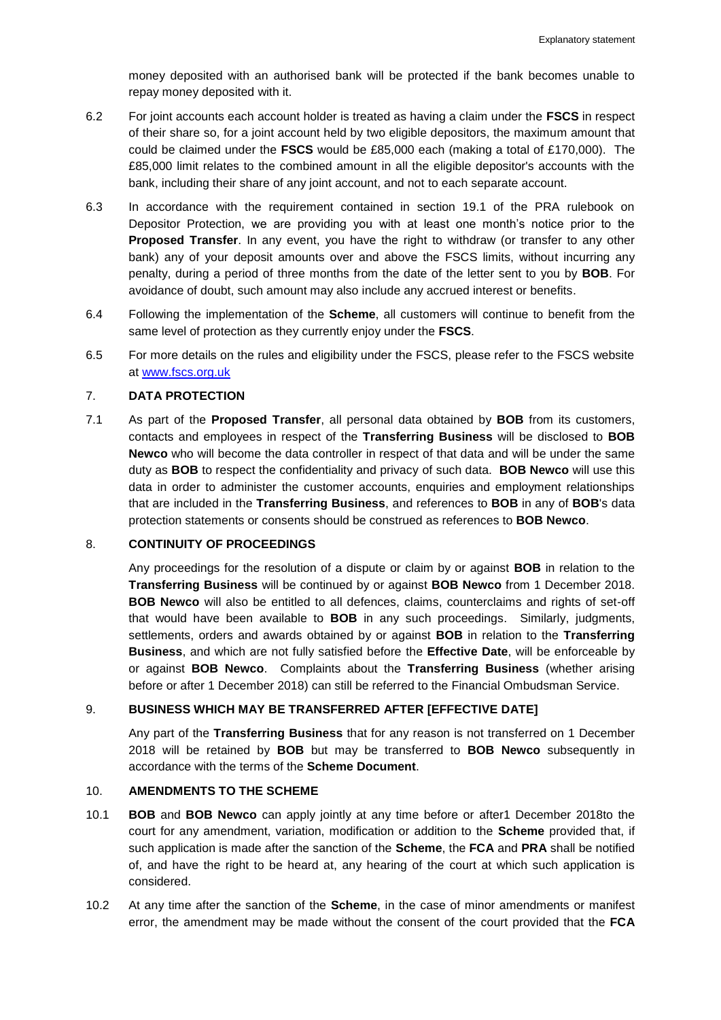money deposited with an authorised bank will be protected if the bank becomes unable to repay money deposited with it.

- 6.2 For joint accounts each account holder is treated as having a claim under the **FSCS** in respect of their share so, for a joint account held by two eligible depositors, the maximum amount that could be claimed under the **FSCS** would be £85,000 each (making a total of £170,000). The £85,000 limit relates to the combined amount in all the eligible depositor's accounts with the bank, including their share of any joint account, and not to each separate account.
- 6.3 In accordance with the requirement contained in section 19.1 of the PRA rulebook on Depositor Protection, we are providing you with at least one month's notice prior to the **Proposed Transfer**. In any event, you have the right to withdraw (or transfer to any other bank) any of your deposit amounts over and above the FSCS limits, without incurring any penalty, during a period of three months from the date of the letter sent to you by **BOB**. For avoidance of doubt, such amount may also include any accrued interest or benefits.
- 6.4 Following the implementation of the **Scheme**, all customers will continue to benefit from the same level of protection as they currently enjoy under the **FSCS**.
- 6.5 For more details on the rules and eligibility under the FSCS, please refer to the FSCS website at [www.fscs.org.uk](http://www.fscs.org.uk/)

### 7. **DATA PROTECTION**

7.1 As part of the **Proposed Transfer**, all personal data obtained by **BOB** from its customers, contacts and employees in respect of the **Transferring Business** will be disclosed to **BOB Newco** who will become the data controller in respect of that data and will be under the same duty as **BOB** to respect the confidentiality and privacy of such data. **BOB Newco** will use this data in order to administer the customer accounts, enquiries and employment relationships that are included in the **Transferring Business**, and references to **BOB** in any of **BOB**'s data protection statements or consents should be construed as references to **BOB Newco**.

### 8. **CONTINUITY OF PROCEEDINGS**

Any proceedings for the resolution of a dispute or claim by or against **BOB** in relation to the **Transferring Business** will be continued by or against **BOB Newco** from 1 December 2018. **BOB Newco** will also be entitled to all defences, claims, counterclaims and rights of set-off that would have been available to **BOB** in any such proceedings. Similarly, judgments, settlements, orders and awards obtained by or against **BOB** in relation to the **Transferring Business**, and which are not fully satisfied before the **Effective Date**, will be enforceable by or against **BOB Newco**. Complaints about the **Transferring Business** (whether arising before or after 1 December 2018) can still be referred to the Financial Ombudsman Service.

### 9. **BUSINESS WHICH MAY BE TRANSFERRED AFTER [EFFECTIVE DATE]**

Any part of the **Transferring Business** that for any reason is not transferred on 1 December 2018 will be retained by **BOB** but may be transferred to **BOB Newco** subsequently in accordance with the terms of the **Scheme Document**.

### 10. **AMENDMENTS TO THE SCHEME**

- 10.1 **BOB** and **BOB Newco** can apply jointly at any time before or after1 December 2018to the court for any amendment, variation, modification or addition to the **Scheme** provided that, if such application is made after the sanction of the **Scheme**, the **FCA** and **PRA** shall be notified of, and have the right to be heard at, any hearing of the court at which such application is considered.
- 10.2 At any time after the sanction of the **Scheme**, in the case of minor amendments or manifest error, the amendment may be made without the consent of the court provided that the **FCA**